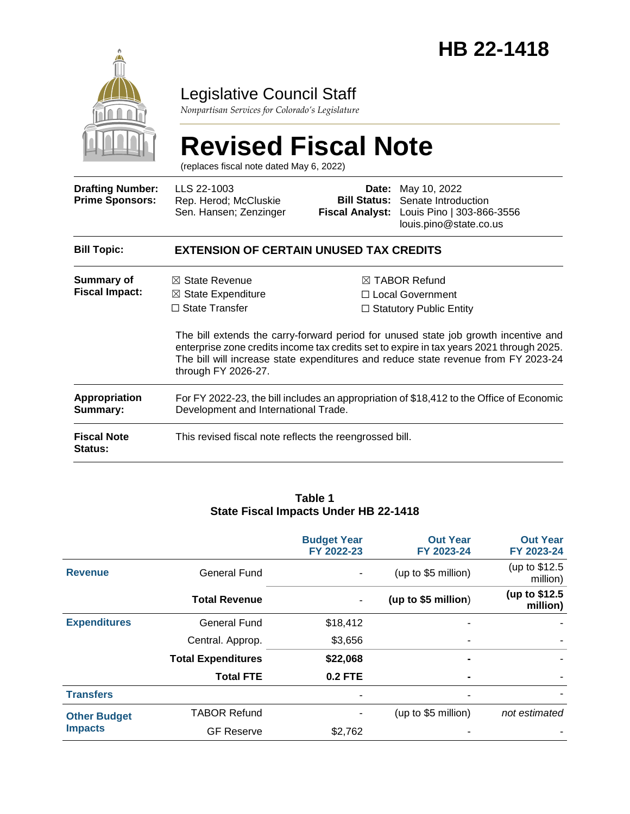

## Legislative Council Staff

*Nonpartisan Services for Colorado's Legislature*

# **Revised Fiscal Note**

(replaces fiscal note dated May 6, 2022)

| <b>Drafting Number:</b><br><b>Prime Sponsors:</b> | LLS 22-1003<br>Rep. Herod; McCluskie<br>Sen. Hansen; Zenzinger                                                                                                                                                                                                                               | Date:<br><b>Bill Status:</b><br><b>Fiscal Analyst:</b>                                | May 10, 2022<br>Senate Introduction<br>Louis Pino   303-866-3556<br>louis.pino@state.co.us |  |  |  |
|---------------------------------------------------|----------------------------------------------------------------------------------------------------------------------------------------------------------------------------------------------------------------------------------------------------------------------------------------------|---------------------------------------------------------------------------------------|--------------------------------------------------------------------------------------------|--|--|--|
| <b>Bill Topic:</b>                                | <b>EXTENSION OF CERTAIN UNUSED TAX CREDITS</b>                                                                                                                                                                                                                                               |                                                                                       |                                                                                            |  |  |  |
| <b>Summary of</b><br><b>Fiscal Impact:</b>        | $\boxtimes$ State Revenue<br>$\boxtimes$ State Expenditure<br>$\Box$ State Transfer                                                                                                                                                                                                          | $\boxtimes$ TABOR Refund<br>$\Box$ Local Government<br>$\Box$ Statutory Public Entity |                                                                                            |  |  |  |
|                                                   | The bill extends the carry-forward period for unused state job growth incentive and<br>enterprise zone credits income tax credits set to expire in tax years 2021 through 2025.<br>The bill will increase state expenditures and reduce state revenue from FY 2023-24<br>through FY 2026-27. |                                                                                       |                                                                                            |  |  |  |
| <b>Appropriation</b><br>Summary:                  | For FY 2022-23, the bill includes an appropriation of \$18,412 to the Office of Economic<br>Development and International Trade.                                                                                                                                                             |                                                                                       |                                                                                            |  |  |  |
| <b>Fiscal Note</b><br>Status:                     | This revised fiscal note reflects the reengrossed bill.                                                                                                                                                                                                                                      |                                                                                       |                                                                                            |  |  |  |

#### **Table 1 State Fiscal Impacts Under HB 22-1418**

|                                       |                           | <b>Budget Year</b><br>FY 2022-23 | <b>Out Year</b><br>FY 2023-24 | <b>Out Year</b><br>FY 2023-24 |
|---------------------------------------|---------------------------|----------------------------------|-------------------------------|-------------------------------|
| <b>Revenue</b>                        | General Fund              | $\blacksquare$                   | (up to \$5 million)           | (up to \$12.5)<br>million)    |
|                                       | <b>Total Revenue</b>      | $\blacksquare$                   | (up to \$5 million)           | (up to \$12.5)<br>million)    |
| <b>Expenditures</b>                   | <b>General Fund</b>       | \$18,412                         |                               |                               |
|                                       | Central. Approp.          | \$3,656                          |                               |                               |
|                                       | <b>Total Expenditures</b> | \$22,068                         |                               |                               |
|                                       | <b>Total FTE</b>          | $0.2$ FTE                        |                               |                               |
| <b>Transfers</b>                      |                           |                                  |                               |                               |
| <b>Other Budget</b><br><b>Impacts</b> | <b>TABOR Refund</b>       |                                  | (up to \$5 million)           | not estimated                 |
|                                       | <b>GF Reserve</b>         | \$2,762                          |                               |                               |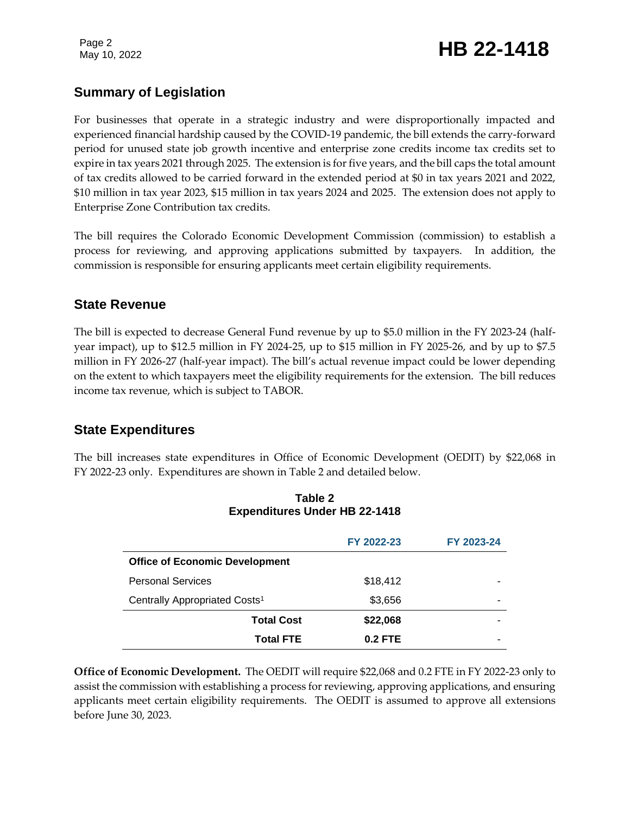## **Summary of Legislation**

For businesses that operate in a strategic industry and were disproportionally impacted and experienced financial hardship caused by the COVID-19 pandemic, the bill extends the carry-forward period for unused state job growth incentive and enterprise zone credits income tax credits set to expire in tax years 2021 through 2025. The extension is for five years, and the bill caps the total amount of tax credits allowed to be carried forward in the extended period at \$0 in tax years 2021 and 2022, \$10 million in tax year 2023, \$15 million in tax years 2024 and 2025. The extension does not apply to Enterprise Zone Contribution tax credits.

The bill requires the Colorado Economic Development Commission (commission) to establish a process for reviewing, and approving applications submitted by taxpayers. In addition, the commission is responsible for ensuring applicants meet certain eligibility requirements.

## **State Revenue**

The bill is expected to decrease General Fund revenue by up to \$5.0 million in the FY 2023-24 (halfyear impact), up to \$12.5 million in FY 2024-25, up to \$15 million in FY 2025-26, and by up to \$7.5 million in FY 2026-27 (half-year impact). The bill's actual revenue impact could be lower depending on the extent to which taxpayers meet the eligibility requirements for the extension. The bill reduces income tax revenue, which is subject to TABOR.

## **State Expenditures**

The bill increases state expenditures in Office of Economic Development (OEDIT) by \$22,068 in FY 2022-23 only. Expenditures are shown in Table 2 and detailed below.

|                                           | FY 2022-23 | FY 2023-24 |
|-------------------------------------------|------------|------------|
| <b>Office of Economic Development</b>     |            |            |
| <b>Personal Services</b>                  | \$18,412   |            |
| Centrally Appropriated Costs <sup>1</sup> | \$3,656    | -          |
| <b>Total Cost</b>                         | \$22,068   |            |
| <b>Total FTE</b>                          | $0.2$ FTE  | -          |

#### **Table 2 Expenditures Under HB 22-1418**

**Office of Economic Development.** The OEDIT will require \$22,068 and 0.2 FTE in FY 2022-23 only to assist the commission with establishing a process for reviewing, approving applications, and ensuring applicants meet certain eligibility requirements. The OEDIT is assumed to approve all extensions before June 30, 2023.